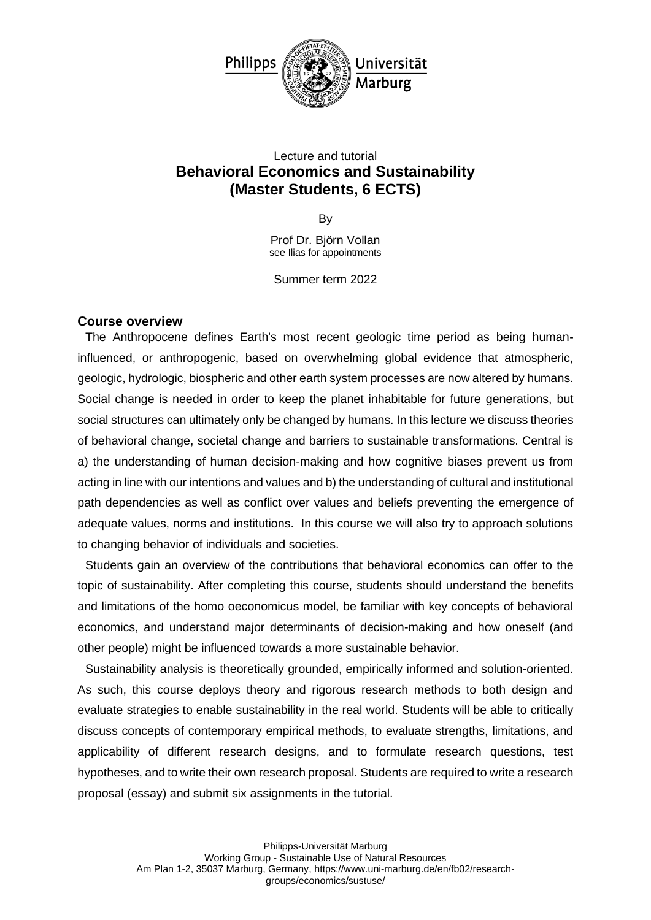

# Lecture and tutorial **Behavioral Economics and Sustainability (Master Students, 6 ECTS)**

By

Prof Dr. Björn Vollan see Ilias for appointments

Summer term 2022

#### **Course overview**

The Anthropocene defines Earth's most recent geologic time period as being humaninfluenced, or anthropogenic, based on overwhelming global evidence that atmospheric, geologic, hydrologic, biospheric and other earth system processes are now altered by humans. Social change is needed in order to keep the planet inhabitable for future generations, but social structures can ultimately only be changed by humans. In this lecture we discuss theories of behavioral change, societal change and barriers to sustainable transformations. Central is a) the understanding of human decision-making and how cognitive biases prevent us from acting in line with our intentions and values and b) the understanding of cultural and institutional path dependencies as well as conflict over values and beliefs preventing the emergence of adequate values, norms and institutions. In this course we will also try to approach solutions to changing behavior of individuals and societies.

Students gain an overview of the contributions that behavioral economics can offer to the topic of sustainability. After completing this course, students should understand the benefits and limitations of the homo oeconomicus model, be familiar with key concepts of behavioral economics, and understand major determinants of decision-making and how oneself (and other people) might be influenced towards a more sustainable behavior.

Sustainability analysis is theoretically grounded, empirically informed and solution-oriented. As such, this course deploys theory and rigorous research methods to both design and evaluate strategies to enable sustainability in the real world. Students will be able to critically discuss concepts of contemporary empirical methods, to evaluate strengths, limitations, and applicability of different research designs, and to formulate research questions, test hypotheses, and to write their own research proposal. Students are required to write a research proposal (essay) and submit six assignments in the tutorial.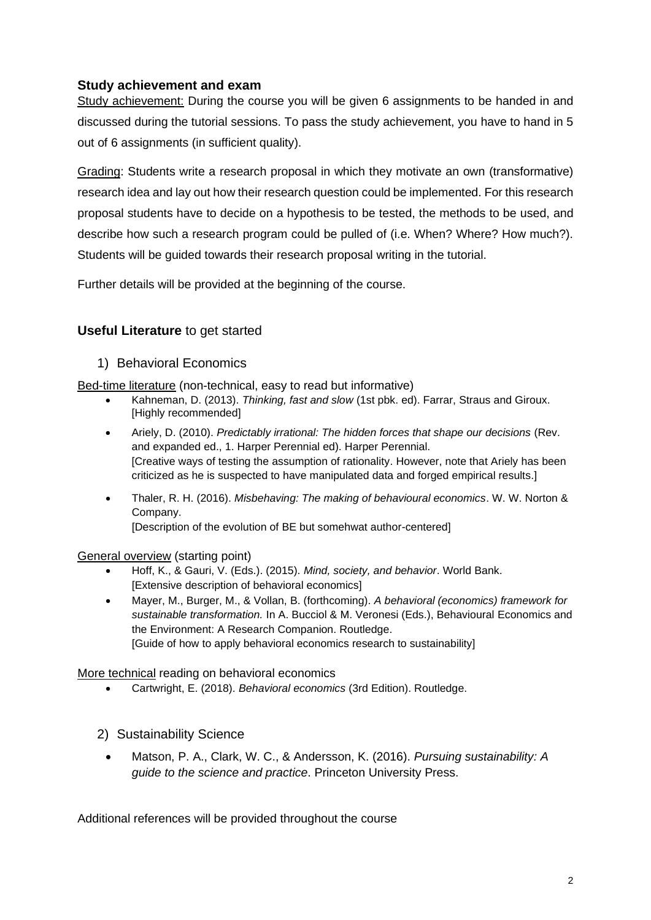## **Study achievement and exam**

Study achievement: During the course you will be given 6 assignments to be handed in and discussed during the tutorial sessions. To pass the study achievement, you have to hand in 5 out of 6 assignments (in sufficient quality).

Grading: Students write a research proposal in which they motivate an own (transformative) research idea and lay out how their research question could be implemented. For this research proposal students have to decide on a hypothesis to be tested, the methods to be used, and describe how such a research program could be pulled of (i.e. When? Where? How much?). Students will be guided towards their research proposal writing in the tutorial.

Further details will be provided at the beginning of the course.

## **Useful Literature** to get started

#### 1) Behavioral Economics

Bed-time literature (non-technical, easy to read but informative)

- Kahneman, D. (2013). *Thinking, fast and slow* (1st pbk. ed). Farrar, Straus and Giroux. [Highly recommended]
- Ariely, D. (2010). *Predictably irrational: The hidden forces that shape our decisions* (Rev. and expanded ed., 1. Harper Perennial ed). Harper Perennial. [Creative ways of testing the assumption of rationality. However, note that Ariely has been criticized as he is suspected to have manipulated data and forged empirical results.]
- Thaler, R. H. (2016). *Misbehaving: The making of behavioural economics*. W. W. Norton & Company. [Description of the evolution of BE but somehwat author-centered]

General overview (starting point)

- Hoff, K., & Gauri, V. (Eds.). (2015). *Mind, society, and behavior*. World Bank. [Extensive description of behavioral economics]
- Mayer, M., Burger, M., & Vollan, B. (forthcoming). *A behavioral (economics) framework for sustainable transformation.* In A. Bucciol & M. Veronesi (Eds.), Behavioural Economics and the Environment: A Research Companion. Routledge. [Guide of how to apply behavioral economics research to sustainability]

More technical reading on behavioral economics

- Cartwright, E. (2018). *Behavioral economics* (3rd Edition). Routledge.
- 2) Sustainability Science
	- Matson, P. A., Clark, W. C., & Andersson, K. (2016). *Pursuing sustainability: A guide to the science and practice*. Princeton University Press.

Additional references will be provided throughout the course